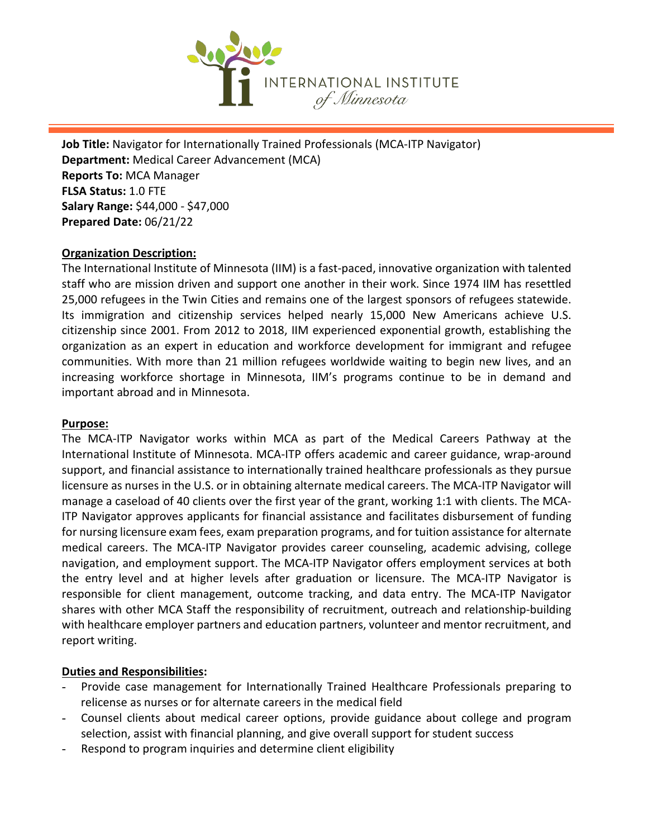

**Job Title:** Navigator for Internationally Trained Professionals (MCA-ITP Navigator) **Department:** Medical Career Advancement (MCA) **Reports To:** MCA Manager **FLSA Status:** 1.0 FTE **Salary Range:** \$44,000 - \$47,000 **Prepared Date:** 06/21/22

### **Organization Description:**

The International Institute of Minnesota (IIM) is a fast-paced, innovative organization with talented staff who are mission driven and support one another in their work. Since 1974 IIM has resettled 25,000 refugees in the Twin Cities and remains one of the largest sponsors of refugees statewide. Its immigration and citizenship services helped nearly 15,000 New Americans achieve U.S. citizenship since 2001. From 2012 to 2018, IIM experienced exponential growth, establishing the organization as an expert in education and workforce development for immigrant and refugee communities. With more than 21 million refugees worldwide waiting to begin new lives, and an increasing workforce shortage in Minnesota, IIM's programs continue to be in demand and important abroad and in Minnesota.

#### **Purpose:**

The MCA-ITP Navigator works within MCA as part of the Medical Careers Pathway at the International Institute of Minnesota. MCA-ITP offers academic and career guidance, wrap-around support, and financial assistance to internationally trained healthcare professionals as they pursue licensure as nurses in the U.S. or in obtaining alternate medical careers. The MCA-ITP Navigator will manage a caseload of 40 clients over the first year of the grant, working 1:1 with clients. The MCA-ITP Navigator approves applicants for financial assistance and facilitates disbursement of funding for nursing licensure exam fees, exam preparation programs, and for tuition assistance for alternate medical careers. The MCA-ITP Navigator provides career counseling, academic advising, college navigation, and employment support. The MCA-ITP Navigator offers employment services at both the entry level and at higher levels after graduation or licensure. The MCA-ITP Navigator is responsible for client management, outcome tracking, and data entry. The MCA-ITP Navigator shares with other MCA Staff the responsibility of recruitment, outreach and relationship-building with healthcare employer partners and education partners, volunteer and mentor recruitment, and report writing.

### **Duties and Responsibilities:**

- Provide case management for Internationally Trained Healthcare Professionals preparing to relicense as nurses or for alternate careers in the medical field
- Counsel clients about medical career options, provide guidance about college and program selection, assist with financial planning, and give overall support for student success
- Respond to program inquiries and determine client eligibility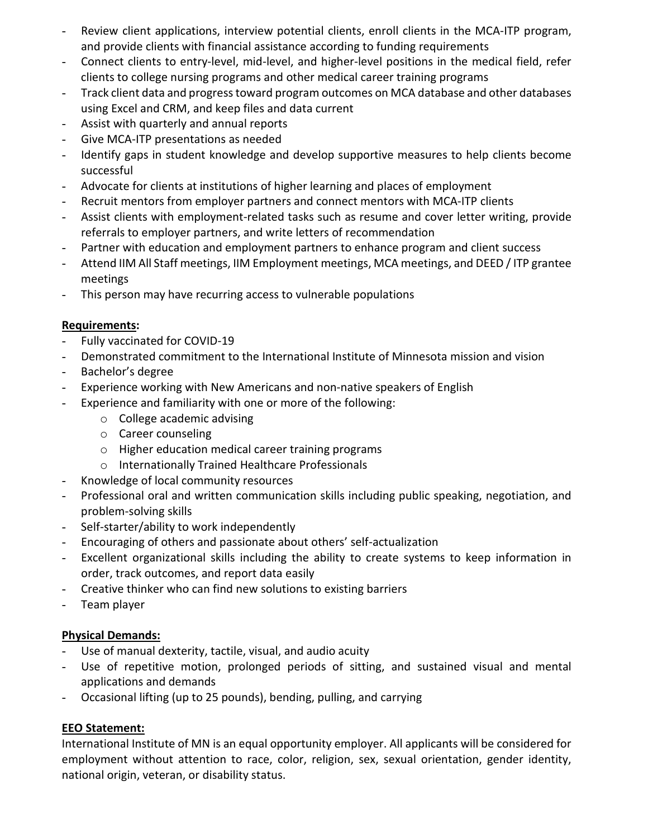- Review client applications, interview potential clients, enroll clients in the MCA-ITP program, and provide clients with financial assistance according to funding requirements
- Connect clients to entry-level, mid-level, and higher-level positions in the medical field, refer clients to college nursing programs and other medical career training programs
- Track client data and progress toward program outcomes on MCA database and other databases using Excel and CRM, and keep files and data current
- Assist with quarterly and annual reports
- Give MCA-ITP presentations as needed
- Identify gaps in student knowledge and develop supportive measures to help clients become successful
- Advocate for clients at institutions of higher learning and places of employment
- Recruit mentors from employer partners and connect mentors with MCA-ITP clients
- Assist clients with employment-related tasks such as resume and cover letter writing, provide referrals to employer partners, and write letters of recommendation
- Partner with education and employment partners to enhance program and client success
- Attend IIM All Staff meetings, IIM Employment meetings, MCA meetings, and DEED / ITP grantee meetings
- This person may have recurring access to vulnerable populations

# **Requirements:**

- Fully vaccinated for COVID-19
- Demonstrated commitment to the International Institute of Minnesota mission and vision
- Bachelor's degree
- Experience working with New Americans and non-native speakers of English
- Experience and familiarity with one or more of the following:
	- o College academic advising
	- o Career counseling
	- o Higher education medical career training programs
	- o Internationally Trained Healthcare Professionals
- Knowledge of local community resources
- Professional oral and written communication skills including public speaking, negotiation, and problem-solving skills
- Self-starter/ability to work independently
- Encouraging of others and passionate about others' self-actualization
- Excellent organizational skills including the ability to create systems to keep information in order, track outcomes, and report data easily
- Creative thinker who can find new solutions to existing barriers
- Team player

## **Physical Demands:**

- Use of manual dexterity, tactile, visual, and audio acuity
- Use of repetitive motion, prolonged periods of sitting, and sustained visual and mental applications and demands
- Occasional lifting (up to 25 pounds), bending, pulling, and carrying

## **EEO Statement:**

International Institute of MN is an equal opportunity employer. All applicants will be considered for employment without attention to race, color, religion, sex, sexual orientation, gender identity, national origin, veteran, or disability status.